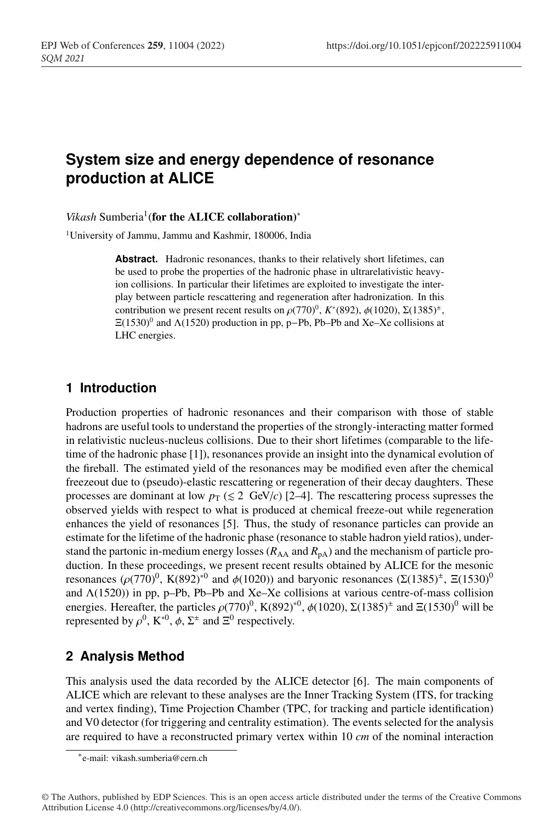# <sup>1</sup> **System size and energy dependence of resonance** <sup>2</sup> **production at ALICE**

#### *Vikash* Sumberia<sup>1</sup>(for the ALICE collaboration)<sup>∗</sup>

<sup>1</sup> University of Jammu, Jammu and Kashmir, 180006, India

Abstract. Hadronic resonances, thanks to their relatively short lifetimes, can be used to probe the properties of the hadronic phase in ultrarelativistic heavyion collisions. In particular their lifetimes are exploited to investigate the interplay between particle rescattering and regeneration after hadronization. In this contribution we present recent results on  $\rho(770)^0$ ,  $K^*(892)$ ,  $\phi(1020)$ ,  $\Sigma(1385)^{\pm}$ ,  $\Xi(1530)^0$  and  $\Lambda(1520)$  production in pp, p–Pb, Pb–Pb and Xe–Xe collisions at LHC energies.

#### <sup>12</sup> **1 Introduction**

<sup>13</sup> Production properties of hadronic resonances and their comparison with those of stable hadrons are useful tools to understand the properties of the strongly-interacting matter formed in relativistic nucleus-nucleus collisions. Due to their short lifetimes (comparable to the life-<sup>16</sup> time of the hadronic phase [1]), resonances provide an insight into the dynamical evolution of <sup>17</sup> the fireball. The estimated yield of the resonances may be modified even after the chemical <sup>18</sup> freezeout due to (pseudo)-elastic rescattering or regeneration of their decay daughters. These processes are dominant at low  $p_T \leq 2 \text{ GeV}/c$  [2–4]. The rescattering process supresses the <sup>20</sup> observed yields with respect to what is produced at chemical freeze-out while regeneration <sup>21</sup> enhances the yield of resonances [5]. Thus, the study of resonance particles can provide an estimate for the lifetime of the hadronic phase (resonance to stable hadron yield ratios), understand the partonic in-medium energy losses ( $R_{AA}$  and  $R_{pA}$ ) and the mechanism of particle production. In these proceedings, we present recent results obtained by ALICE for the mesonic resonances ( $\rho$ (770)<sup>0</sup>, K(892)<sup>\*0</sup> and  $\phi$ (1020)) and baryonic resonances (Σ(1385)<sup>±</sup>, Ξ(1530)<sup>0</sup> and  $\Lambda(1520)$ ) in pp, p–Pb, Pb–Pb and Xe–Xe collisions at various centre-of-mass collision energies. Hereafter, the particles  $\rho(770)^0$ , K(892)<sup>∗0</sup>,  $\phi(1020)$ ,  $\Sigma(1385)^{\pm}$  and  $\Sigma(1530)^0$  will be represented by  $\rho^0$ ,  $K^{*0}$ ,  $\phi$ ,  $\Sigma^{\pm}$  and  $\Sigma^0$  respectively.

### <sup>29</sup> **2 Analysis Method**

This analysis used the data recorded by the ALICE detector [6]. The main components of <sup>31</sup> ALICE which are relevant to these analyses are the Inner Tracking System (ITS, for tracking and vertex finding), Time Projection Chamber (TPC, for tracking and particle identification) and V0 detector (for triggering and centrality estimation). The events selected for the analysis <sup>34</sup> are required to have a reconstructed primary vertex within 10 *cm* of the nominal interaction

<sup>∗</sup>e-mail: vikash.sumberia@cern.ch

<sup>©</sup> The Authors, published by EDP Sciences. This is an open access article distributed under the terms of the Creative Commons Attribution License 4.0 (http://creativecommons.org/licenses/by/4.0/).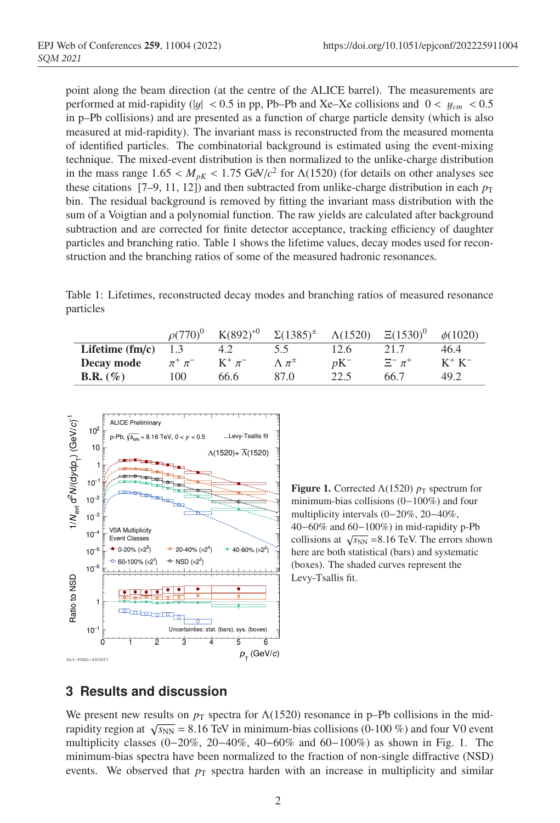point along the beam direction (at the centre of the ALICE barrel). The measurements are performed at mid-rapidity (|y| < 0.5 in pp, Pb–Pb and Xe–Xe collisions and  $0 < y_{cm} < 0.5$ in p–Pb collisions) and are presented as a function of charge particle density (which is also measured at mid-rapidity). The invariant mass is reconstructed from the measured momenta of identified particles. The combinatorial background is estimated using the event-mixing <sup>40</sup> technique. The mixed-event distribution is then normalized to the unlike-charge distribution in the mass range  $1.65 < M_{pK} < 1.75$  GeV/ $c^2$  for  $\Lambda(1520)$  (for details on other analyses see these citations [7–9, 11, 12]) and then subtracted from unlike-charge distribution in each  $p_T$ <sup>43</sup> bin. The residual background is removed by fitting the invariant mass distribution with the sum of a Voigtian and a polynomial function. The raw yields are calculated after background subtraction and are corrected for finite detector acceptance, tracking efficiency of daughter particles and branching ratio. Table 1 shows the lifetime values, decay modes used for reconstruction and the branching ratios of some of the measured hadronic resonances.

Table 1: Lifetimes, reconstructed decay modes and branching ratios of measured resonance particles

|                    | $\rho(770)^{0}$  | $K(892)^{*0}$ | $\Sigma(1385)^{\pm}$ | $\Lambda(1520)$ | $\Xi(1530)^{0}$ | $\phi(1020)$ |
|--------------------|------------------|---------------|----------------------|-----------------|-----------------|--------------|
| Lifetime $(fm/c)$  | 1.3              | 4.2           | 5.5                  | 12.6            | 21.7            | 46.4         |
| Decay mode         | $\pi^+ \, \pi^-$ | $K^+$ $\pi^-$ | $\Lambda \pi^{\pm}$  | $pK^-$          | $\Xi^- \pi^+$   | $K^+$ $K^-$  |
| <b>B.R.</b> $(\%)$ | 100              | 66.6          | 87.0                 | 22.5            | 66.7            | 49.2         |



**Figure 1.** Corrected  $\Lambda(1520)$   $p_T$  spectrum for minimum-bias collisions (0−100%) and four multiplicity intervals (0−20%, 20−40%, 40−60% and 60−100%) in mid-rapidity p-Pb collisions at  $\sqrt{s_{NN}}$  =8.16 TeV. The errors shown here are both statistical (bars) and systematic (boxes). The shaded curves represent the Levy-Tsallis fit.

# <sup>48</sup> **3 Results and discussion**

We present new results on  $p<sub>T</sub>$  spectra for  $\Lambda(1520)$  resonance in p–Pb collisions in the midrapidity region at  $\sqrt{s_{NN}}$  = 8.16 TeV in minimum-bias collisions (0-100 %) and four V0 event <sup>51</sup> multiplicity classes (0−20%, 20−40%, 40−60% and 60−100%) as shown in Fig. 1. The minimum-bias spectra have been normalized to the fraction of non-single diffractive (NSD) events. We observed that  $p<sub>T</sub>$  spectra harden with an increase in multiplicity and similar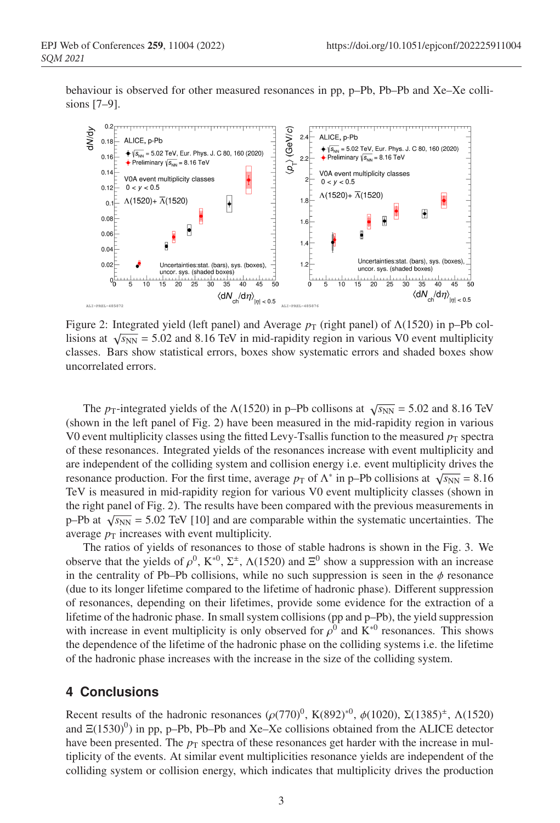<sup>54</sup> behaviour is observed for other measured resonances in pp, p–Pb, Pb–Pb and Xe–Xe collisions  $[7-9]$ .



Figure 2: Integrated yield (left panel) and Average  $p_T$  (right panel) of  $\Lambda(1520)$  in p–Pb collisions at  $\sqrt{s_{NN}}$  = 5.02 and 8.16 TeV in mid-rapidity region in various V0 event multiplicity classes. Bars show statistical errors, boxes show systematic errors and shaded boxes show uncorrelated errors.

The *p*<sub>T</sub>-integrated yields of the  $\Lambda(1520)$  in p–Pb collisons at  $\sqrt{s_{NN}} = 5.02$  and 8.16 TeV  $s$  (shown in the left panel of Fig. 2) have been measured in the mid-rapidity region in various V0 event multiplicity classes using the fitted Levy-Tsallis function to the measured  $p<sub>T</sub>$  spectra <sup>59</sup> of these resonances. Integrated yields of the resonances increase with event multiplicity and are independent of the colliding system and collision energy i.e. event multiplicity drives the resonance production. For the first time, average  $p<sub>T</sub>$  of  $\Lambda^*$  in p–Pb collisions at  $\sqrt{s_{NN}} = 8.16$ TeV is measured in mid-rapidity region for various V0 event multiplicity classes (shown in <sup>63</sup> the right panel of Fig. 2). The results have been compared with the previous measurements in p–Pb at  $\sqrt{s_{NN}}$  = 5.02 TeV [10] and are comparable within the systematic uncertainties. The average  $p<sub>T</sub>$  increases with event multiplicity.

The ratios of yields of resonances to those of stable hadrons is shown in the Fig. 3. We observe that the yields of  $\rho^0$ , K<sup>\*0</sup>, Σ<sup>±</sup>,  $\Lambda$ (1520) and  $\Xi^0$  show a suppression with an increase in the centrality of Pb–Pb collisions, while no such suppression is seen in the  $\phi$  resonance <sup>69</sup> (due to its longer lifetime compared to the lifetime of hadronic phase). Different suppression <sup>70</sup> of resonances, depending on their lifetimes, provide some evidence for the extraction of a lifetime of the hadronic phase. In small system collisions (pp and p–Pb), the yield suppression with increase in event multiplicity is only observed for  $\rho^0$  and K<sup>∗0</sup> resonances. This shows <sup>73</sup> the dependence of the lifetime of the hadronic phase on the colliding systems i.e. the lifetime of the hadronic phase increases with the increase in the size of the colliding system.

# <sup>75</sup> **4 Conclusions**

Recent results of the hadronic resonances  $(\rho(770)^0, K(892)^{*0}, \phi(1020), \Sigma(1385)^{*}, \Lambda(1520)$ and  $\Xi(1530)^0$ ) in pp, p–Pb, Pb–Pb and Xe–Xe collisions obtained from the ALICE detector have been presented. The  $p<sub>T</sub>$  spectra of these resonances get harder with the increase in multiplicity of the events. At similar event multiplicities resonance yields are independent of the <sup>80</sup> colliding system or collision energy, which indicates that multiplicity drives the production